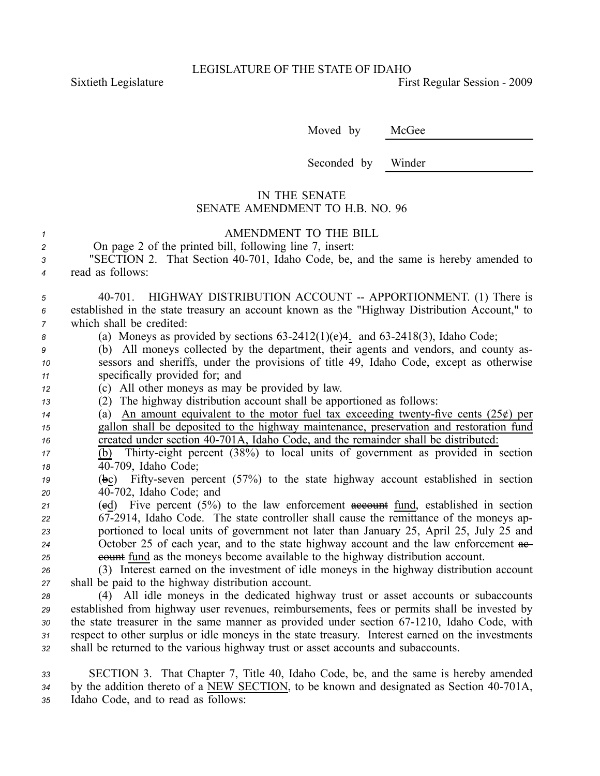Sixtieth Legislature **First** Regular Session - 2009

Moved by McGee

Seconded by Winder

## IN THE SENATE SENATE AMENDMENT TO H.B. NO. 96

## *<sup>1</sup>* AMENDMENT TO THE BILL

| On page 2 of the printed bill, following line 7, insert: |  |
|----------------------------------------------------------|--|
|----------------------------------------------------------|--|

*<sup>3</sup>* "SECTION 2. That Section 40701, Idaho Code, be, and the same is hereby amended to *<sup>4</sup>* read as follows:

5 40-701. HIGHWAY DISTRIBUTION ACCOUNT -- APPORTIONMENT. (1) There is *<sup>6</sup>* established in the state treasury an account known as the "Highway Distribution Account," to *<sup>7</sup>* which shall be credited:

8 (a) Moneys as provided by sections 63-2412(1)(e)4. and 63-2418(3), Idaho Code;

*<sup>9</sup>* (b) All moneys collected by the department, their agents and vendors, and county as-*<sup>10</sup>* sessors and sheriffs, under the provisions of title 49, Idaho Code, excep<sup>t</sup> as otherwise *<sup>11</sup>* specifically provided for; and

*<sup>12</sup>* (c) All other moneys as may be provided by law.

*<sup>13</sup>* (2) The highway distribution account shall be apportioned as follows:

*14* (a) An amount equivalent to the motor fuel tax exceeding twenty-five cents  $(25¢)$  per *<sup>15</sup>* gallon shall be deposited to the highway maintenance, preservation and restoration fund 16 created under section 40-701A, Idaho Code, and the remainder shall be distributed:

*<sup>17</sup>* (b) Thirtyeight percen<sup>t</sup> (38%) to local units of governmen<sup>t</sup> as provided in section *<sup>18</sup>* 40709, Idaho Code;

19 (bc) Fifty-seven percent (57%) to the state highway account established in section *<sup>20</sup>* 40702, Idaho Code; and

 (cd) Five percen<sup>t</sup> (5%) to the law enforcement account fund, established in section 672914, Idaho Code. The state controller shall cause the remittance of the moneys ap- portioned to local units of governmen<sup>t</sup> not later than January 25, April 25, July 25 and 24 October 25 of each year, and to the state highway account and the law enforcement  $\theta$ **external** example available to the highway distribution account.

*<sup>26</sup>* (3) Interest earned on the investment of idle moneys in the highway distribution account *<sup>27</sup>* shall be paid to the highway distribution account.

 (4) All idle moneys in the dedicated highway trust or asset accounts or subaccounts established from highway user revenues, reimbursements, fees or permits shall be invested by 30 the state treasurer in the same manner as provided under section 67-1210, Idaho Code, with respec<sup>t</sup> to other surplus or idle moneys in the state treasury. Interest earned on the investments shall be returned to the various highway trust or asset accounts and subaccounts.

*<sup>33</sup>* SECTION 3. That Chapter 7, Title 40, Idaho Code, be, and the same is hereby amended 34 by the addition thereto of a NEW SECTION, to be known and designated as Section 40-701A, *<sup>35</sup>* Idaho Code, and to read as follows: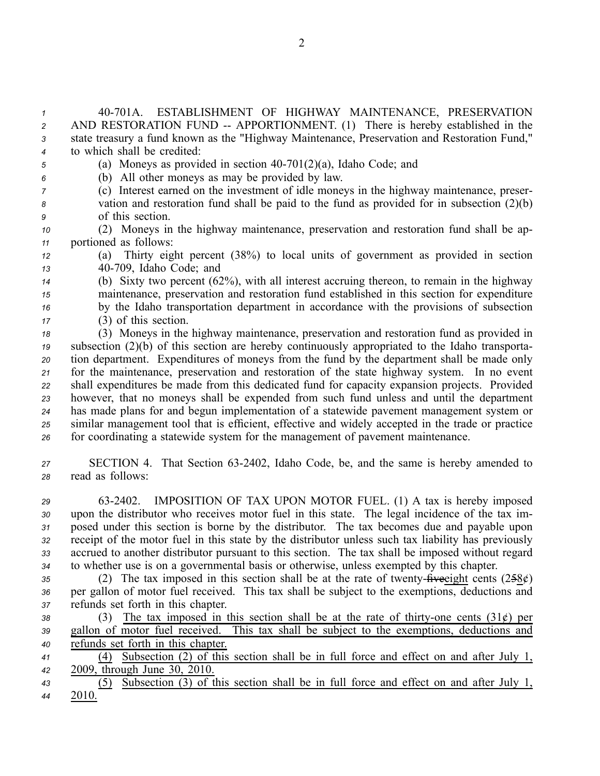40701A. ESTABLISHMENT OF HIGHWAY MAINTENANCE, PRESERVATION 2 AND RESTORATION FUND -- APPORTIONMENT. (1) There is hereby established in the state treasury <sup>a</sup> fund known as the "Highway Maintenance, Preservation and Restoration Fund," to which shall be credited:

- 
- *<sup>5</sup>* (a) Moneys as provided in section 40701(2)(a), Idaho Code; and *<sup>6</sup>* (b) All other moneys as may be provided by law.
- *<sup>7</sup>* (c) Interest earned on the investment of idle moneys in the highway maintenance, preser-
- *<sup>8</sup>* vation and restoration fund shall be paid to the fund as provided for in subsection (2)(b) *<sup>9</sup>* of this section.
- *<sup>10</sup>* (2) Moneys in the highway maintenance, preservation and restoration fund shall be ap-*<sup>11</sup>* portioned as follows:
- *<sup>12</sup>* (a) Thirty eight percen<sup>t</sup> (38%) to local units of governmen<sup>t</sup> as provided in section *<sup>13</sup>* 40709, Idaho Code; and
- *<sup>14</sup>* (b) Sixty two percen<sup>t</sup> (62%), with all interest accruing thereon, to remain in the highway *<sup>15</sup>* maintenance, preservation and restoration fund established in this section for expenditure *<sup>16</sup>* by the Idaho transportation department in accordance with the provisions of subsection *<sup>17</sup>* (3) of this section.
- *<sup>18</sup>* (3) Moneys in the highway maintenance, preservation and restoration fund as provided in *<sup>19</sup>* subsection (2)(b) of this section are hereby continuously appropriated to the Idaho transporta-*<sup>20</sup>* tion department. Expenditures of moneys from the fund by the department shall be made only *<sup>21</sup>* for the maintenance, preservation and restoration of the state highway system. In no event *<sup>22</sup>* shall expenditures be made from this dedicated fund for capacity expansion projects. Provided *<sup>23</sup>* however, that no moneys shall be expended from such fund unless and until the department *<sup>24</sup>* has made plans for and begun implementation of <sup>a</sup> statewide pavemen<sup>t</sup> managemen<sup>t</sup> system or *<sup>25</sup>* similar managemen<sup>t</sup> tool that is efficient, effective and widely accepted in the trade or practice *<sup>26</sup>* for coordinating <sup>a</sup> statewide system for the managemen<sup>t</sup> of pavemen<sup>t</sup> maintenance.
- 27 SECTION 4. That Section 63-2402, Idaho Code, be, and the same is hereby amended to *<sup>28</sup>* read as follows:

 632402. IMPOSITION OF TAX UPON MOTOR FUEL. (1) A tax is hereby imposed upon the distributor who receives motor fuel in this state. The legal incidence of the tax im- posed under this section is borne by the distributor. The tax becomes due and payable upon receipt of the motor fuel in this state by the distributor unless such tax liability has previously accrued to another distributor pursuan<sup>t</sup> to this section. The tax shall be imposed without regard to whether use is on <sup>a</sup> governmental basis or otherwise, unless exempted by this chapter.

35 (2) The tax imposed in this section shall be at the rate of twenty- $\hat{H}$ veeight cents (258 $\mathcal{E}$ ) *<sup>36</sup>* per gallon of motor fuel received. This tax shall be subject to the exemptions, deductions and *<sup>37</sup>* refunds set forth in this chapter.

38 (3) The tax imposed in this section shall be at the rate of thirty-one cents (31¢) per *<sup>39</sup>* gallon of motor fuel received. This tax shall be subject to the exemptions, deductions and *<sup>40</sup>* refunds set forth in this chapter.

*<sup>41</sup>* (4) Subsection (2) of this section shall be in full force and effect on and after July 1, *<sup>42</sup>* 2009, through June 30, 2010.

*<sup>43</sup>* (5) Subsection (3) of this section shall be in full force and effect on and after July 1, *<sup>44</sup>* 2010.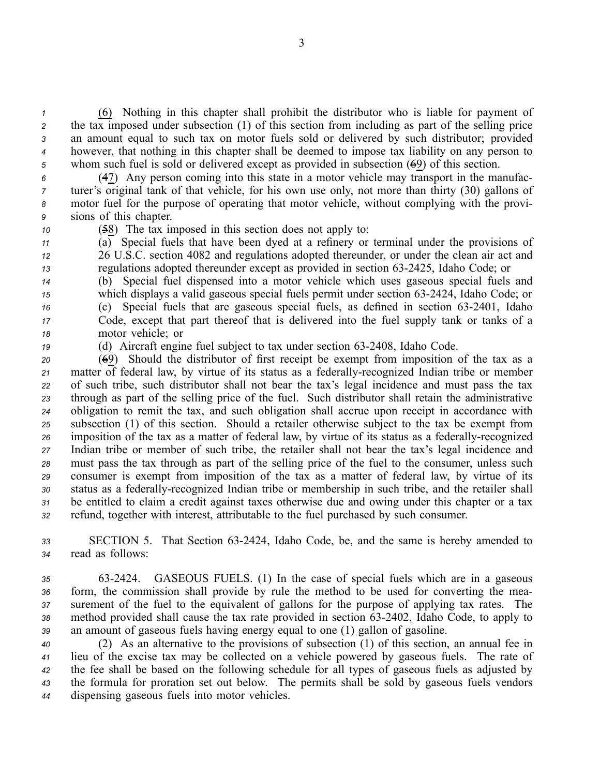(6) Nothing in this chapter shall prohibit the distributor who is liable for paymen<sup>t</sup> of 2 the tax imposed under subsection (1) of this section from including as part of the selling price an amount equal to such tax on motor fuels sold or delivered by such distributor; provided however, that nothing in this chapter shall be deemed to impose tax liability on any person to whom such fuel is sold or delivered excep<sup>t</sup> as provided in subsection (69) of this section.

 (47) Any person coming into this state in <sup>a</sup> motor vehicle may transport in the manufac- turer's original tank of that vehicle, for his own use only, not more than thirty (30) gallons of motor fuel for the purpose of operating that motor vehicle, without complying with the provi-sions of this chapter.

*<sup>10</sup>* (58) The tax imposed in this section does not apply to:

 $11$  (a) Special fuels that have been dyed at a refinery or terminal under the provisions of *<sup>12</sup>* 26 U.S.C. section 4082 and regulations adopted thereunder, or under the clean air act and *<sup>13</sup>* regulations adopted thereunder excep<sup>t</sup> as provided in section 632425, Idaho Code; or

 (b) Special fuel dispensed into <sup>a</sup> motor vehicle which uses gaseous special fuels and which displays a valid gaseous special fuels permit under section 63-2424, Idaho Code; or (c) Special fuels that are gaseous special fuels, as defined in section 63-2401, Idaho Code, excep<sup>t</sup> that par<sup>t</sup> thereof that is delivered into the fuel supply tank or tanks of <sup>a</sup> motor vehicle; or

*<sup>19</sup>* (d) Aircraft engine fuel subject to tax under section 632408, Idaho Code.

 (69) Should the distributor of first receipt be exemp<sup>t</sup> from imposition of the tax as <sup>a</sup> 21 matter of federal law, by virtue of its status as a federally-recognized Indian tribe or member of such tribe, such distributor shall not bear the tax's legal incidence and must pass the tax through as par<sup>t</sup> of the selling price of the fuel. Such distributor shall retain the administrative obligation to remit the tax, and such obligation shall accrue upon receipt in accordance with subsection (1) of this section. Should <sup>a</sup> retailer otherwise subject to the tax be exemp<sup>t</sup> from imposition of the tax as a matter of federal law, by virtue of its status as a federally-recognized Indian tribe or member of such tribe, the retailer shall not bear the tax's legal incidence and must pass the tax through as par<sup>t</sup> of the selling price of the fuel to the consumer, unless such consumer is exemp<sup>t</sup> from imposition of the tax as <sup>a</sup> matter of federal law, by virtue of its 30 status as a federally-recognized Indian tribe or membership in such tribe, and the retailer shall be entitled to claim <sup>a</sup> credit against taxes otherwise due and owing under this chapter or <sup>a</sup> tax refund, together with interest, attributable to the fuel purchased by such consumer.

*<sup>33</sup>* SECTION 5. That Section 632424, Idaho Code, be, and the same is hereby amended to *<sup>34</sup>* read as follows:

 632424. GASEOUS FUELS. (1) In the case of special fuels which are in <sup>a</sup> gaseous form, the commission shall provide by rule the method to be used for converting the mea- surement of the fuel to the equivalent of gallons for the purpose of applying tax rates. The method provided shall cause the tax rate provided in section 632402, Idaho Code, to apply to an amount of gaseous fuels having energy equal to one (1) gallon of gasoline.

 (2) As an alternative to the provisions of subsection (1) of this section, an annual fee in lieu of the excise tax may be collected on <sup>a</sup> vehicle powered by gaseous fuels. The rate of the fee shall be based on the following schedule for all types of gaseous fuels as adjusted by the formula for proration set out below. The permits shall be sold by gaseous fuels vendors dispensing gaseous fuels into motor vehicles.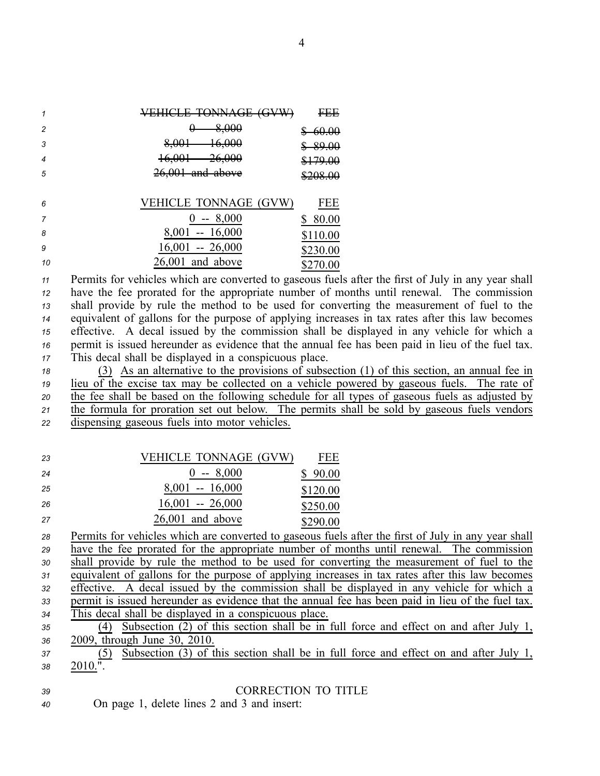|            | TOMMA CE<br><i><b>COMP</b></i><br><u>TUINCEL IVINITUL</u><br>ज | CCC<br>гuр                                                                    |
|------------|----------------------------------------------------------------|-------------------------------------------------------------------------------|
| 2          | 8,000<br>v                                                     | 60. QQ<br>vv.vv<br>w                                                          |
| 3          | 16.000<br>8,001<br>ᠴᠣ,ᢦᢦᠣ                                      | <u> የ0.00</u><br><u>02.00</u>                                                 |
|            | <u>26.000</u><br><u>16.001</u><br>10,001<br>ᡓᠦᡕᠣᠣ              | $0.70 \Omega$<br>$\sqrt{117.00}$                                              |
| 5          | $26,001$ and above                                             | <b>MO 2002</b><br>$\overline{v}$ $\overline{v}$ $\overline{v}$ $\overline{v}$ |
|            |                                                                |                                                                               |
| $\epsilon$ | VEHICI E TONNAGE <i>(GVW</i> )                                 | いにに                                                                           |

| - b | VELILLE TUNNAUE (UVW) | LEE      |
|-----|-----------------------|----------|
|     | $0 - 8,000$           | \$ 80.00 |
| -8  | $8,001 - 16,000$      | \$110.00 |
| - 9 | $16,001 - 26,000$     | \$230.00 |
| -10 | $26,001$ and above    | \$270.00 |

 Permits for vehicles which are converted to gaseous fuels after the first of July in any year shall have the fee prorated for the appropriate number of months until renewal. The commission shall provide by rule the method to be used for converting the measurement of fuel to the equivalent of gallons for the purpose of applying increases in tax rates after this law becomes effective. A decal issued by the commission shall be displayed in any vehicle for which <sup>a</sup> permit is issued hereunder as evidence that the annual fee has been paid in lieu of the fuel tax. This decal shall be displayed in <sup>a</sup> conspicuous place.

 (3) As an alternative to the provisions of subsection (1) of this section, an annual fee in lieu of the excise tax may be collected on <sup>a</sup> vehicle powered by gaseous fuels. The rate of the fee shall be based on the following schedule for all types of gaseous fuels as adjusted by the formula for proration set out below. The permits shall be sold by gaseous fuels vendors dispensing gaseous fuels into motor vehicles.

| -23 | <b>VEHICLE TONNAGE (GVW)</b> | FEE      |
|-----|------------------------------|----------|
| 24  | $0 - 8,000$                  | \$90.00  |
| -25 | $8,001 - 16,000$             | \$120.00 |
| -26 | $16,001 - 26,000$            | \$250.00 |
| -27 | $26,001$ and above           | \$290.00 |

 Permits for vehicles which are converted to gaseous fuels after the first of July in any year shall have the fee prorated for the appropriate number of months until renewal. The commission shall provide by rule the method to be used for converting the measurement of fuel to the equivalent of gallons for the purpose of applying increases in tax rates after this law becomes effective. A decal issued by the commission shall be displayed in any vehicle for which <sup>a</sup> permit is issued hereunder as evidence that the annual fee has been paid in lieu of the fuel tax. This decal shall be displayed in <sup>a</sup> conspicuous place. (4) Subsection (2) of this section shall be in full force and effect on and after July 1, 2009, through June 30, 2010.

*<sup>37</sup>* (5) Subsection (3) of this section shall be in full force and effect on and after July 1, *38* 2010.".

## *39* CORRECTION TO TITLE

*<sup>40</sup>* On page 1, delete lines 2 and 3 and insert: